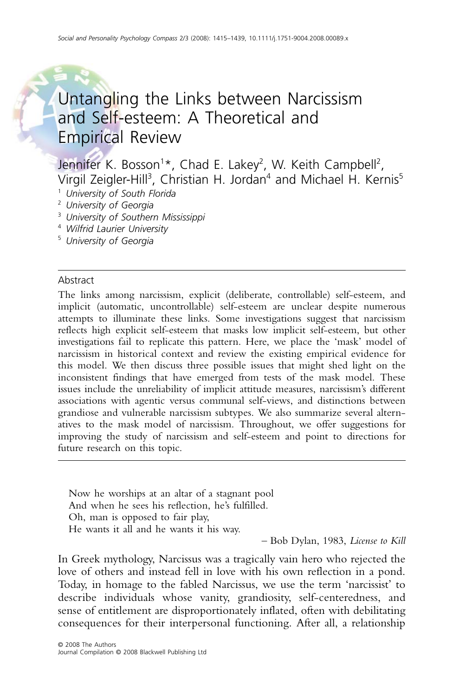# Untangling the Links between Narcissism and Self-esteem: A Theoretical and Empirical Review

Jennifer K. Bosson<sup>1\*</sup>, Chad E. Lakey<sup>2</sup>, W. Keith Campbell<sup>2</sup>, Virgil Zeigler-Hill<sup>3</sup>, Christian H. Jordan<sup>4</sup> and Michael H. Kernis<sup>5</sup>

- <sup>1</sup> *University of South Florida*
- <sup>2</sup> *University of Georgia*
- <sup>3</sup> *University of Southern Mississippi*
- <sup>4</sup> *Wilfrid Laurier University*
- <sup>5</sup> *University of Georgia*

#### Abstract

The links among narcissism, explicit (deliberate, controllable) self-esteem, and implicit (automatic, uncontrollable) self-esteem are unclear despite numerous attempts to illuminate these links. Some investigations suggest that narcissism reflects high explicit self-esteem that masks low implicit self-esteem, but other investigations fail to replicate this pattern. Here, we place the 'mask' model of narcissism in historical context and review the existing empirical evidence for this model. We then discuss three possible issues that might shed light on the inconsistent findings that have emerged from tests of the mask model. These issues include the unreliability of implicit attitude measures, narcissism's different associations with agentic versus communal self-views, and distinctions between grandiose and vulnerable narcissism subtypes. We also summarize several alternatives to the mask model of narcissism. Throughout, we offer suggestions for improving the study of narcissism and self-esteem and point to directions for future research on this topic.

Now he worships at an altar of a stagnant pool And when he sees his reflection, he's fulfilled. Oh, man is opposed to fair play, He wants it all and he wants it his way.

– Bob Dylan, 1983, *License to Kill*

In Greek mythology, Narcissus was a tragically vain hero who rejected the love of others and instead fell in love with his own reflection in a pond. Today, in homage to the fabled Narcissus, we use the term 'narcissist' to describe individuals whose vanity, grandiosity, self-centeredness, and sense of entitlement are disproportionately inflated, often with debilitating consequences for their interpersonal functioning. After all, a relationship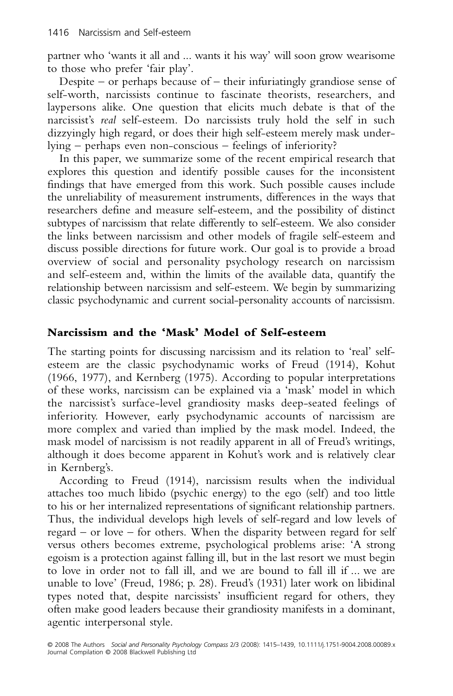partner who 'wants it all and ... wants it his way' will soon grow wearisome to those who prefer 'fair play'.

Despite – or perhaps because of – their infuriatingly grandiose sense of self-worth, narcissists continue to fascinate theorists, researchers, and laypersons alike. One question that elicits much debate is that of the narcissist's *real* self-esteem. Do narcissists truly hold the self in such dizzyingly high regard, or does their high self-esteem merely mask underlying – perhaps even non-conscious – feelings of inferiority?

In this paper, we summarize some of the recent empirical research that explores this question and identify possible causes for the inconsistent findings that have emerged from this work. Such possible causes include the unreliability of measurement instruments, differences in the ways that researchers define and measure self-esteem, and the possibility of distinct subtypes of narcissism that relate differently to self-esteem. We also consider the links between narcissism and other models of fragile self-esteem and discuss possible directions for future work. Our goal is to provide a broad overview of social and personality psychology research on narcissism and self-esteem and, within the limits of the available data, quantify the relationship between narcissism and self-esteem. We begin by summarizing classic psychodynamic and current social-personality accounts of narcissism.

### **Narcissism and the 'Mask' Model of Self-esteem**

The starting points for discussing narcissism and its relation to 'real' selfesteem are the classic psychodynamic works of Freud (1914), Kohut (1966, 1977), and Kernberg (1975). According to popular interpretations of these works, narcissism can be explained via a 'mask' model in which the narcissist's surface-level grandiosity masks deep-seated feelings of inferiority. However, early psychodynamic accounts of narcissism are more complex and varied than implied by the mask model. Indeed, the mask model of narcissism is not readily apparent in all of Freud's writings, although it does become apparent in Kohut's work and is relatively clear in Kernberg's.

According to Freud (1914), narcissism results when the individual attaches too much libido (psychic energy) to the ego (self) and too little to his or her internalized representations of significant relationship partners. Thus, the individual develops high levels of self-regard and low levels of regard – or love – for others. When the disparity between regard for self versus others becomes extreme, psychological problems arise: 'A strong egoism is a protection against falling ill, but in the last resort we must begin to love in order not to fall ill, and we are bound to fall ill if ... we are unable to love' (Freud, 1986; p. 28). Freud's (1931) later work on libidinal types noted that, despite narcissists' insufficient regard for others, they often make good leaders because their grandiosity manifests in a dominant, agentic interpersonal style.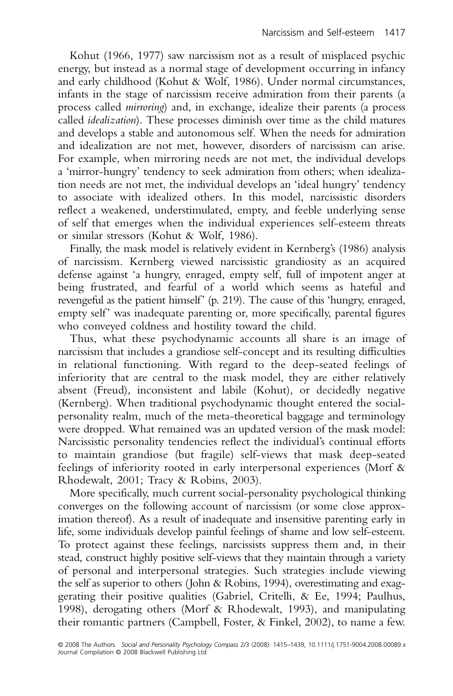Kohut (1966, 1977) saw narcissism not as a result of misplaced psychic energy, but instead as a normal stage of development occurring in infancy and early childhood (Kohut & Wolf, 1986). Under normal circumstances, infants in the stage of narcissism receive admiration from their parents (a process called *mirroring*) and, in exchange, idealize their parents (a process called *idealization*). These processes diminish over time as the child matures and develops a stable and autonomous self. When the needs for admiration and idealization are not met, however, disorders of narcissism can arise. For example, when mirroring needs are not met, the individual develops a 'mirror-hungry' tendency to seek admiration from others; when idealization needs are not met, the individual develops an 'ideal hungry' tendency to associate with idealized others. In this model, narcissistic disorders reflect a weakened, understimulated, empty, and feeble underlying sense of self that emerges when the individual experiences self-esteem threats or similar stressors (Kohut & Wolf, 1986).

Finally, the mask model is relatively evident in Kernberg's (1986) analysis of narcissism. Kernberg viewed narcissistic grandiosity as an acquired defense against 'a hungry, enraged, empty self, full of impotent anger at being frustrated, and fearful of a world which seems as hateful and revengeful as the patient himself' (p. 219). The cause of this 'hungry, enraged, empty self' was inadequate parenting or, more specifically, parental figures who conveyed coldness and hostility toward the child.

Thus, what these psychodynamic accounts all share is an image of narcissism that includes a grandiose self-concept and its resulting difficulties in relational functioning. With regard to the deep-seated feelings of inferiority that are central to the mask model, they are either relatively absent (Freud), inconsistent and labile (Kohut), or decidedly negative (Kernberg). When traditional psychodynamic thought entered the socialpersonality realm, much of the meta-theoretical baggage and terminology were dropped. What remained was an updated version of the mask model: Narcissistic personality tendencies reflect the individual's continual efforts to maintain grandiose (but fragile) self-views that mask deep-seated feelings of inferiority rooted in early interpersonal experiences (Morf & Rhodewalt, 2001; Tracy & Robins, 2003).

More specifically, much current social-personality psychological thinking converges on the following account of narcissism (or some close approximation thereof). As a result of inadequate and insensitive parenting early in life, some individuals develop painful feelings of shame and low self-esteem. To protect against these feelings, narcissists suppress them and, in their stead, construct highly positive self-views that they maintain through a variety of personal and interpersonal strategies. Such strategies include viewing the self as superior to others (John & Robins, 1994), overestimating and exaggerating their positive qualities (Gabriel, Critelli, & Ee, 1994; Paulhus, 1998), derogating others (Morf & Rhodewalt, 1993), and manipulating their romantic partners (Campbell, Foster, & Finkel, 2002), to name a few.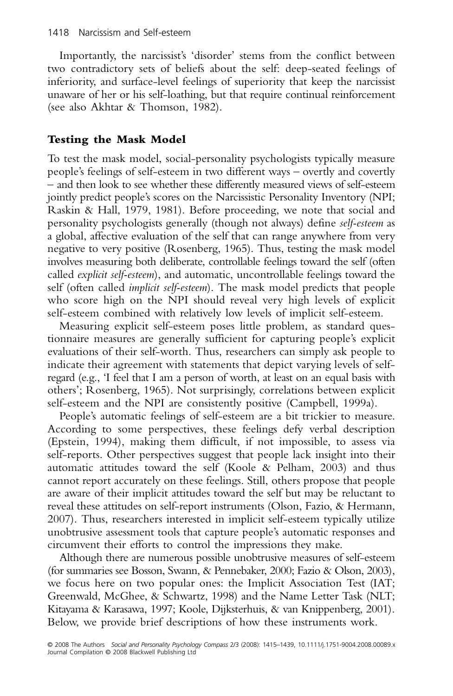Importantly, the narcissist's 'disorder' stems from the conflict between two contradictory sets of beliefs about the self: deep-seated feelings of inferiority, and surface-level feelings of superiority that keep the narcissist unaware of her or his self-loathing, but that require continual reinforcement (see also Akhtar & Thomson, 1982).

## **Testing the Mask Model**

To test the mask model, social-personality psychologists typically measure people's feelings of self-esteem in two different ways – overtly and covertly – and then look to see whether these differently measured views of self-esteem jointly predict people's scores on the Narcissistic Personality Inventory (NPI; Raskin & Hall, 1979, 1981). Before proceeding, we note that social and personality psychologists generally (though not always) define *self-esteem* as a global, affective evaluation of the self that can range anywhere from very negative to very positive (Rosenberg, 1965). Thus, testing the mask model involves measuring both deliberate, controllable feelings toward the self (often called *explicit self-esteem*), and automatic, uncontrollable feelings toward the self (often called *implicit self-esteem*). The mask model predicts that people who score high on the NPI should reveal very high levels of explicit self-esteem combined with relatively low levels of implicit self-esteem.

Measuring explicit self-esteem poses little problem, as standard questionnaire measures are generally sufficient for capturing people's explicit evaluations of their self-worth. Thus, researchers can simply ask people to indicate their agreement with statements that depict varying levels of selfregard (e.g., 'I feel that I am a person of worth, at least on an equal basis with others'; Rosenberg, 1965). Not surprisingly, correlations between explicit self-esteem and the NPI are consistently positive (Campbell, 1999a).

People's automatic feelings of self-esteem are a bit trickier to measure. According to some perspectives, these feelings defy verbal description (Epstein, 1994), making them difficult, if not impossible, to assess via self-reports. Other perspectives suggest that people lack insight into their automatic attitudes toward the self (Koole & Pelham, 2003) and thus cannot report accurately on these feelings. Still, others propose that people are aware of their implicit attitudes toward the self but may be reluctant to reveal these attitudes on self-report instruments (Olson, Fazio, & Hermann, 2007). Thus, researchers interested in implicit self-esteem typically utilize unobtrusive assessment tools that capture people's automatic responses and circumvent their efforts to control the impressions they make.

Although there are numerous possible unobtrusive measures of self-esteem (for summaries see Bosson, Swann, & Pennebaker, 2000; Fazio & Olson, 2003), we focus here on two popular ones: the Implicit Association Test (IAT; Greenwald, McGhee, & Schwartz, 1998) and the Name Letter Task (NLT; Kitayama & Karasawa, 1997; Koole, Dijksterhuis, & van Knippenberg, 2001). Below, we provide brief descriptions of how these instruments work.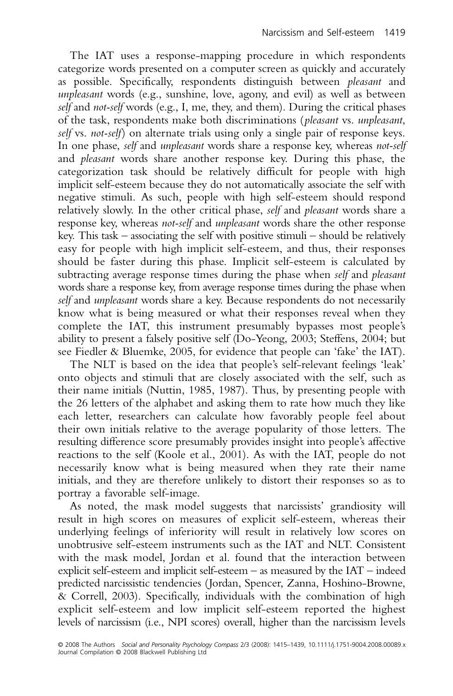The IAT uses a response-mapping procedure in which respondents categorize words presented on a computer screen as quickly and accurately as possible. Specifically, respondents distinguish between *pleasant* and *unpleasant* words (e.g., sunshine, love, agony, and evil) as well as between *self* and *not-self* words (e.g., I, me, they, and them). During the critical phases of the task, respondents make both discriminations (*pleasant* vs. *unpleasant*, *self* vs. *not-self*) on alternate trials using only a single pair of response keys. In one phase, *self* and *unpleasant* words share a response key, whereas *not-self* and *pleasant* words share another response key. During this phase, the categorization task should be relatively difficult for people with high implicit self-esteem because they do not automatically associate the self with negative stimuli. As such, people with high self-esteem should respond relatively slowly. In the other critical phase, *self* and *pleasant* words share a response key, whereas *not-self* and *unpleasant* words share the other response key. This task – associating the self with positive stimuli – should be relatively easy for people with high implicit self-esteem, and thus, their responses should be faster during this phase. Implicit self-esteem is calculated by subtracting average response times during the phase when *self* and *pleasant* words share a response key, from average response times during the phase when *self* and *unpleasant* words share a key. Because respondents do not necessarily know what is being measured or what their responses reveal when they complete the IAT, this instrument presumably bypasses most people's ability to present a falsely positive self (Do-Yeong, 2003; Steffens, 2004; but see Fiedler & Bluemke, 2005, for evidence that people can 'fake' the IAT).

The NLT is based on the idea that people's self-relevant feelings 'leak' onto objects and stimuli that are closely associated with the self, such as their name initials (Nuttin, 1985, 1987). Thus, by presenting people with the 26 letters of the alphabet and asking them to rate how much they like each letter, researchers can calculate how favorably people feel about their own initials relative to the average popularity of those letters. The resulting difference score presumably provides insight into people's affective reactions to the self (Koole et al., 2001). As with the IAT, people do not necessarily know what is being measured when they rate their name initials, and they are therefore unlikely to distort their responses so as to portray a favorable self-image.

As noted, the mask model suggests that narcissists' grandiosity will result in high scores on measures of explicit self-esteem, whereas their underlying feelings of inferiority will result in relatively low scores on unobtrusive self-esteem instruments such as the IAT and NLT. Consistent with the mask model, Jordan et al. found that the interaction between explicit self-esteem and implicit self-esteem – as measured by the IAT – indeed predicted narcissistic tendencies (Jordan, Spencer, Zanna, Hoshino-Browne, & Correll, 2003). Specifically, individuals with the combination of high explicit self-esteem and low implicit self-esteem reported the highest levels of narcissism (i.e., NPI scores) overall, higher than the narcissism levels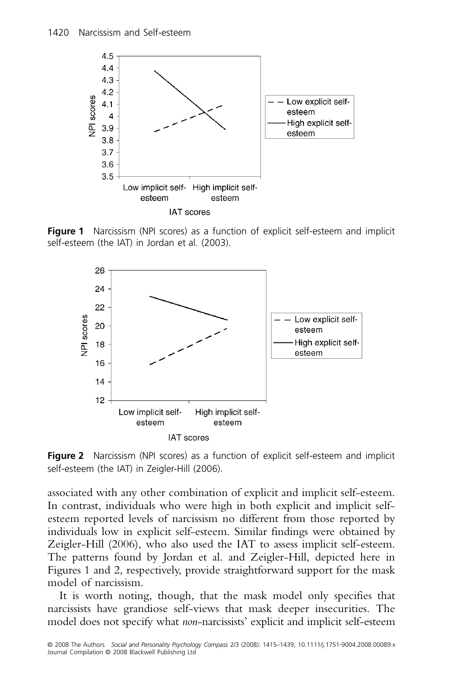

**Figure 1** Narcissism (NPI scores) as a function of explicit self-esteem and implicit self-esteem (the IAT) in Jordan et al. (2003).



**Figure 2** Narcissism (NPI scores) as a function of explicit self-esteem and implicit self-esteem (the IAT) in Zeigler-Hill (2006).

associated with any other combination of explicit and implicit self-esteem. In contrast, individuals who were high in both explicit and implicit selfesteem reported levels of narcissism no different from those reported by individuals low in explicit self-esteem. Similar findings were obtained by Zeigler-Hill (2006), who also used the IAT to assess implicit self-esteem. The patterns found by Jordan et al. and Zeigler-Hill, depicted here in Figures 1 and 2, respectively, provide straightforward support for the mask model of narcissism.

It is worth noting, though, that the mask model only specifies that narcissists have grandiose self-views that mask deeper insecurities. The model does not specify what *non*-narcissists' explicit and implicit self-esteem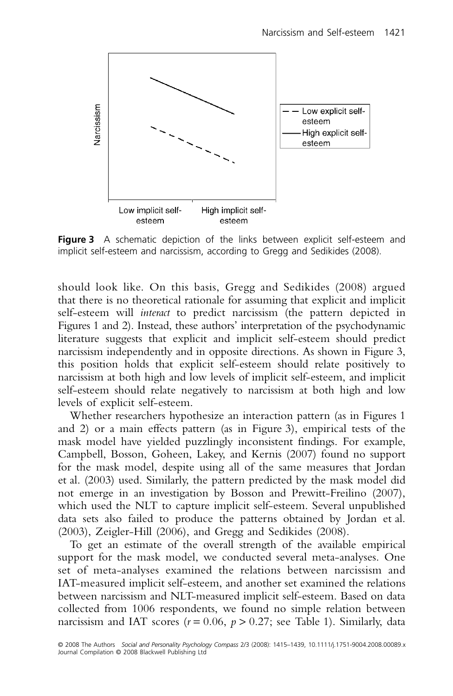

**Figure 3** A schematic depiction of the links between explicit self-esteem and implicit self-esteem and narcissism, according to Gregg and Sedikides (2008).

should look like. On this basis, Gregg and Sedikides (2008) argued that there is no theoretical rationale for assuming that explicit and implicit self-esteem will *interact* to predict narcissism (the pattern depicted in Figures 1 and 2). Instead, these authors' interpretation of the psychodynamic literature suggests that explicit and implicit self-esteem should predict narcissism independently and in opposite directions. As shown in Figure 3, this position holds that explicit self-esteem should relate positively to narcissism at both high and low levels of implicit self-esteem, and implicit self-esteem should relate negatively to narcissism at both high and low levels of explicit self-esteem.

Whether researchers hypothesize an interaction pattern (as in Figures 1 and 2) or a main effects pattern (as in Figure 3), empirical tests of the mask model have yielded puzzlingly inconsistent findings. For example, Campbell, Bosson, Goheen, Lakey, and Kernis (2007) found no support for the mask model, despite using all of the same measures that Jordan et al. (2003) used. Similarly, the pattern predicted by the mask model did not emerge in an investigation by Bosson and Prewitt-Freilino (2007), which used the NLT to capture implicit self-esteem. Several unpublished data sets also failed to produce the patterns obtained by Jordan et al. (2003), Zeigler-Hill (2006), and Gregg and Sedikides (2008).

To get an estimate of the overall strength of the available empirical support for the mask model, we conducted several meta-analyses. One set of meta-analyses examined the relations between narcissism and IAT-measured implicit self-esteem, and another set examined the relations between narcissism and NLT-measured implicit self-esteem. Based on data collected from 1006 respondents, we found no simple relation between narcissism and IAT scores ( $r = 0.06$ ,  $p > 0.27$ ; see Table 1). Similarly, data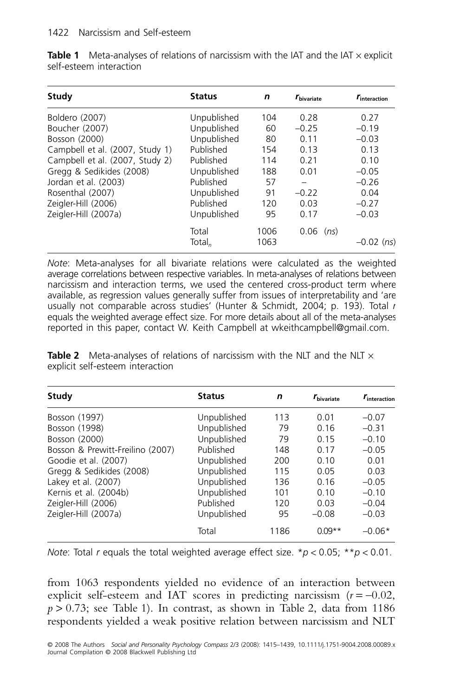| Study                           | <b>Status</b>      | n    | $r_{\text{bivariate}}$ | $r_{\text{interaction}}$ |
|---------------------------------|--------------------|------|------------------------|--------------------------|
| Boldero (2007)                  | Unpublished        | 104  | 0.28                   | 0.27                     |
| Boucher (2007)                  | Unpublished        | 60   | $-0.25$                | $-0.19$                  |
| Bosson (2000)                   | Unpublished        | 80   | 0.11                   | $-0.03$                  |
| Campbell et al. (2007, Study 1) | Published          | 154  | 0.13                   | 0.13                     |
| Campbell et al. (2007, Study 2) | Published          | 114  | 0.21                   | 0.10                     |
| Gregg & Sedikides (2008)        | Unpublished        | 188  | 0.01                   | $-0.05$                  |
| Jordan et al. (2003)            | Published          | 57   | -                      | $-0.26$                  |
| Rosenthal (2007)                | Unpublished        | 91   | $-0.22$                | 0.04                     |
| Zeigler-Hill (2006)             | Published          | 120  | 0.03                   | $-0.27$                  |
| Zeigler-Hill (2007a)            | Unpublished        | 95   | 0.17                   | $-0.03$                  |
|                                 | Total              | 1006 | $0.06$ (ns)            |                          |
|                                 | Total <sub>n</sub> | 1063 |                        | $-0.02$ (ns)             |

**Table 1** Meta-analyses of relations of narcissism with the IAT and the IAT  $\times$  explicit self-esteem interaction

*Note*: Meta-analyses for all bivariate relations were calculated as the weighted average correlations between respective variables. In meta-analyses of relations between narcissism and interaction terms, we used the centered cross-product term where available, as regression values generally suffer from issues of interpretability and 'are usually not comparable across studies' (Hunter & Schmidt, 2004; p. 193). Total *r* equals the weighted average effect size. For more details about all of the meta-analyses reported in this paper, contact W. Keith Campbell at wkeithcampbell@gmail.com.

**Table 2** Meta-analyses of relations of narcissism with the NLT and the NLT  $\times$ explicit self-esteem interaction

| Study                            | <b>Status</b> | n    | $r_{\text{bivariate}}$ | $r_{\text{interaction}}$ |
|----------------------------------|---------------|------|------------------------|--------------------------|
| Bosson (1997)                    | Unpublished   | 113  | 0.01                   | $-0.07$                  |
| Bosson (1998)                    | Unpublished   | 79   | 0.16                   | $-0.31$                  |
| Bosson (2000)                    | Unpublished   | 79   | 0.15                   | $-0.10$                  |
| Bosson & Prewitt-Freilino (2007) | Published     | 148  | 0.17                   | $-0.05$                  |
| Goodie et al. (2007)             | Unpublished   | 200  | 0.10                   | 0.01                     |
| Gregg & Sedikides (2008)         | Unpublished   | 115  | 0.05                   | 0.03                     |
| Lakey et al. (2007)              | Unpublished   | 136  | 0 16                   | $-0.05$                  |
| Kernis et al. (2004b)            | Unpublished   | 101  | 0.10                   | $-0.10$                  |
| Zeigler-Hill (2006)              | Published     | 120  | 0.03                   | $-0.04$                  |
| Zeigler-Hill (2007a)             | Unpublished   | 95   | $-0.08$                | $-0.03$                  |
|                                  | Total         | 1186 | $0.09**$               | $-0.06*$                 |

*Note*: Total *r* equals the total weighted average effect size. \**p* < 0.05; \*\**p* < 0.01.

from 1063 respondents yielded no evidence of an interaction between explicit self-esteem and IAT scores in predicting narcissism  $(r = -0.02,$  $p > 0.73$ ; see Table 1). In contrast, as shown in Table 2, data from 1186 respondents yielded a weak positive relation between narcissism and NLT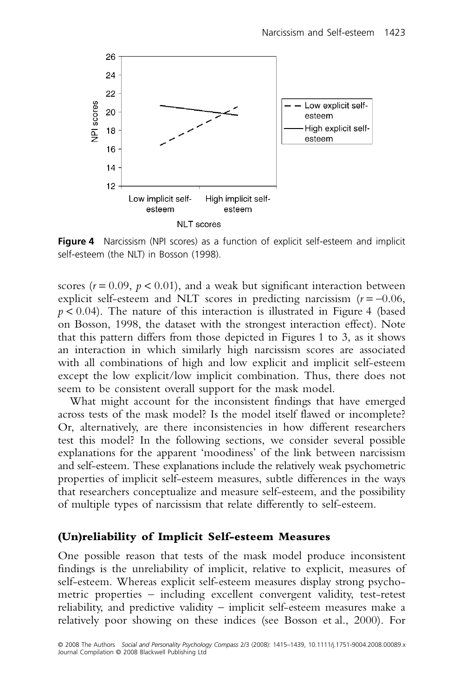

**Figure 4** Narcissism (NPI scores) as a function of explicit self-esteem and implicit self-esteem (the NLT) in Bosson (1998).

scores  $(r = 0.09, p < 0.01)$ , and a weak but significant interaction between explicit self-esteem and NLT scores in predicting narcissism  $(r = -0.06,$  $p < 0.04$ ). The nature of this interaction is illustrated in Figure 4 (based on Bosson, 1998, the dataset with the strongest interaction effect). Note that this pattern differs from those depicted in Figures 1 to 3, as it shows an interaction in which similarly high narcissism scores are associated with all combinations of high and low explicit and implicit self-esteem except the low explicit/low implicit combination. Thus, there does not seem to be consistent overall support for the mask model.

What might account for the inconsistent findings that have emerged across tests of the mask model? Is the model itself flawed or incomplete? Or, alternatively, are there inconsistencies in how different researchers test this model? In the following sections, we consider several possible explanations for the apparent 'moodiness' of the link between narcissism and self-esteem. These explanations include the relatively weak psychometric properties of implicit self-esteem measures, subtle differences in the ways that researchers conceptualize and measure self-esteem, and the possibility of multiple types of narcissism that relate differently to self-esteem.

#### **(Un)reliability of Implicit Self-esteem Measures**

One possible reason that tests of the mask model produce inconsistent findings is the unreliability of implicit, relative to explicit, measures of self-esteem. Whereas explicit self-esteem measures display strong psychometric properties – including excellent convergent validity, test-retest reliability, and predictive validity – implicit self-esteem measures make a relatively poor showing on these indices (see Bosson et al., 2000). For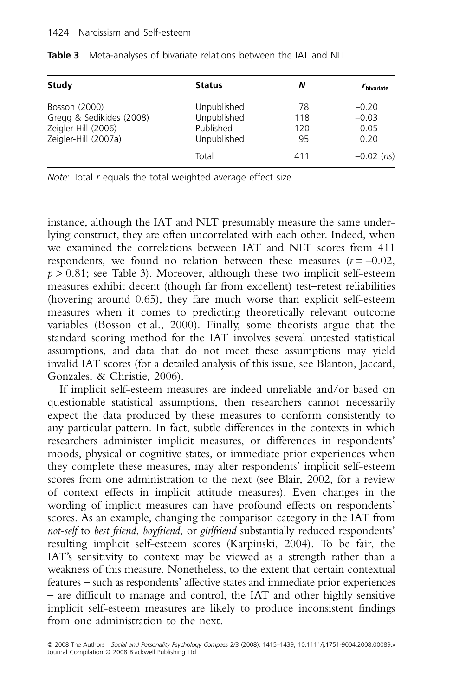| Study                    | <b>Status</b> | Ν   | $r_{\text{bivariate}}$ |
|--------------------------|---------------|-----|------------------------|
| Bosson (2000)            | Unpublished   | 78  | $-0.20$                |
| Gregg & Sedikides (2008) | Unpublished   | 118 | $-0.03$                |
| Zeigler-Hill (2006)      | Published     | 120 | $-0.05$                |
| Zeigler-Hill (2007a)     | Unpublished   | 95  | 0.20                   |
|                          | Total         | 411 | $-0.02$ (ns)           |

| Table 3 Meta-analyses of bivariate relations between the IAT and NLT |  |
|----------------------------------------------------------------------|--|
|----------------------------------------------------------------------|--|

*Note*: Total *r* equals the total weighted average effect size.

instance, although the IAT and NLT presumably measure the same underlying construct, they are often uncorrelated with each other. Indeed, when we examined the correlations between IAT and NLT scores from 411 respondents, we found no relation between these measures  $(r = -0.02$ ,  $p > 0.81$ ; see Table 3). Moreover, although these two implicit self-esteem measures exhibit decent (though far from excellent) test–retest reliabilities (hovering around 0.65), they fare much worse than explicit self-esteem measures when it comes to predicting theoretically relevant outcome variables (Bosson et al., 2000). Finally, some theorists argue that the standard scoring method for the IAT involves several untested statistical assumptions, and data that do not meet these assumptions may yield invalid IAT scores (for a detailed analysis of this issue, see Blanton, Jaccard, Gonzales, & Christie, 2006).

If implicit self-esteem measures are indeed unreliable and/or based on questionable statistical assumptions, then researchers cannot necessarily expect the data produced by these measures to conform consistently to any particular pattern. In fact, subtle differences in the contexts in which researchers administer implicit measures, or differences in respondents' moods, physical or cognitive states, or immediate prior experiences when they complete these measures, may alter respondents' implicit self-esteem scores from one administration to the next (see Blair, 2002, for a review of context effects in implicit attitude measures). Even changes in the wording of implicit measures can have profound effects on respondents' scores. As an example, changing the comparison category in the IAT from *not-self* to *best friend*, *boyfriend*, or *girlfriend* substantially reduced respondents' resulting implicit self-esteem scores (Karpinski, 2004). To be fair, the IAT's sensitivity to context may be viewed as a strength rather than a weakness of this measure. Nonetheless, to the extent that certain contextual features – such as respondents' affective states and immediate prior experiences – are difficult to manage and control, the IAT and other highly sensitive implicit self-esteem measures are likely to produce inconsistent findings from one administration to the next.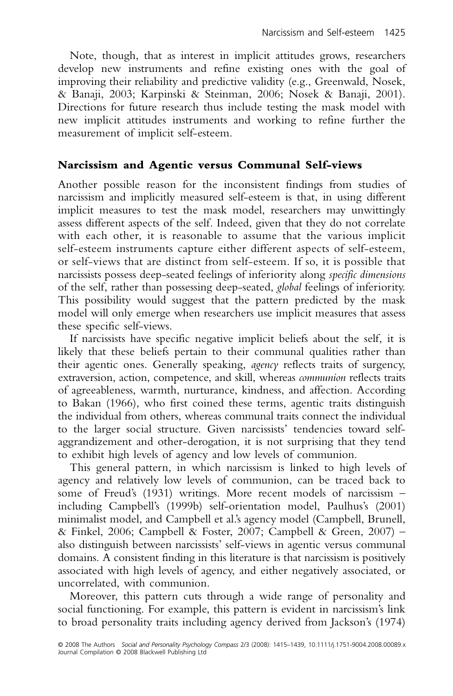Note, though, that as interest in implicit attitudes grows, researchers develop new instruments and refine existing ones with the goal of improving their reliability and predictive validity (e.g., Greenwald, Nosek, & Banaji, 2003; Karpinski & Steinman, 2006; Nosek & Banaji, 2001). Directions for future research thus include testing the mask model with new implicit attitudes instruments and working to refine further the measurement of implicit self-esteem.

### **Narcissism and Agentic versus Communal Self-views**

Another possible reason for the inconsistent findings from studies of narcissism and implicitly measured self-esteem is that, in using different implicit measures to test the mask model, researchers may unwittingly assess different aspects of the self. Indeed, given that they do not correlate with each other, it is reasonable to assume that the various implicit self-esteem instruments capture either different aspects of self-esteem, or self-views that are distinct from self-esteem. If so, it is possible that narcissists possess deep-seated feelings of inferiority along *specific dimensions* of the self, rather than possessing deep-seated, *global* feelings of inferiority. This possibility would suggest that the pattern predicted by the mask model will only emerge when researchers use implicit measures that assess these specific self-views.

If narcissists have specific negative implicit beliefs about the self, it is likely that these beliefs pertain to their communal qualities rather than their agentic ones. Generally speaking, *agency* reflects traits of surgency, extraversion, action, competence, and skill, whereas *communion* reflects traits of agreeableness, warmth, nurturance, kindness, and affection. According to Bakan (1966), who first coined these terms, agentic traits distinguish the individual from others, whereas communal traits connect the individual to the larger social structure. Given narcissists' tendencies toward selfaggrandizement and other-derogation, it is not surprising that they tend to exhibit high levels of agency and low levels of communion.

This general pattern, in which narcissism is linked to high levels of agency and relatively low levels of communion, can be traced back to some of Freud's (1931) writings. More recent models of narcissism – including Campbell's (1999b) self-orientation model, Paulhus's (2001) minimalist model, and Campbell et al.'s agency model (Campbell, Brunell, & Finkel, 2006; Campbell & Foster, 2007; Campbell & Green, 2007) – also distinguish between narcissists' self-views in agentic versus communal domains. A consistent finding in this literature is that narcissism is positively associated with high levels of agency, and either negatively associated, or uncorrelated, with communion.

Moreover, this pattern cuts through a wide range of personality and social functioning. For example, this pattern is evident in narcissism's link to broad personality traits including agency derived from Jackson's (1974)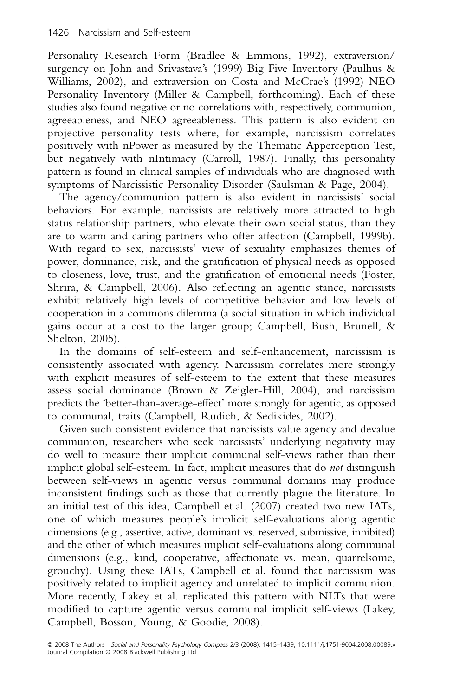Personality Research Form (Bradlee & Emmons, 1992), extraversion/ surgency on John and Srivastava's (1999) Big Five Inventory (Paulhus & Williams, 2002), and extraversion on Costa and McCrae's (1992) NEO Personality Inventory (Miller & Campbell, forthcoming). Each of these studies also found negative or no correlations with, respectively, communion, agreeableness, and NEO agreeableness. This pattern is also evident on projective personality tests where, for example, narcissism correlates positively with nPower as measured by the Thematic Apperception Test, but negatively with nIntimacy (Carroll, 1987). Finally, this personality pattern is found in clinical samples of individuals who are diagnosed with symptoms of Narcissistic Personality Disorder (Saulsman & Page, 2004).

The agency/communion pattern is also evident in narcissists' social behaviors. For example, narcissists are relatively more attracted to high status relationship partners, who elevate their own social status, than they are to warm and caring partners who offer affection (Campbell, 1999b). With regard to sex, narcissists' view of sexuality emphasizes themes of power, dominance, risk, and the gratification of physical needs as opposed to closeness, love, trust, and the gratification of emotional needs (Foster, Shrira, & Campbell, 2006). Also reflecting an agentic stance, narcissists exhibit relatively high levels of competitive behavior and low levels of cooperation in a commons dilemma (a social situation in which individual gains occur at a cost to the larger group; Campbell, Bush, Brunell, & Shelton, 2005).

In the domains of self-esteem and self-enhancement, narcissism is consistently associated with agency. Narcissism correlates more strongly with explicit measures of self-esteem to the extent that these measures assess social dominance (Brown & Zeigler-Hill, 2004), and narcissism predicts the 'better-than-average-effect' more strongly for agentic, as opposed to communal, traits (Campbell, Rudich, & Sedikides, 2002).

Given such consistent evidence that narcissists value agency and devalue communion, researchers who seek narcissists' underlying negativity may do well to measure their implicit communal self-views rather than their implicit global self-esteem. In fact, implicit measures that do *not* distinguish between self-views in agentic versus communal domains may produce inconsistent findings such as those that currently plague the literature. In an initial test of this idea, Campbell et al. (2007) created two new IATs, one of which measures people's implicit self-evaluations along agentic dimensions (e.g., assertive, active, dominant vs. reserved, submissive, inhibited) and the other of which measures implicit self-evaluations along communal dimensions (e.g., kind, cooperative, affectionate vs. mean, quarrelsome, grouchy). Using these IATs, Campbell et al. found that narcissism was positively related to implicit agency and unrelated to implicit communion. More recently, Lakey et al. replicated this pattern with NLTs that were modified to capture agentic versus communal implicit self-views (Lakey, Campbell, Bosson, Young, & Goodie, 2008).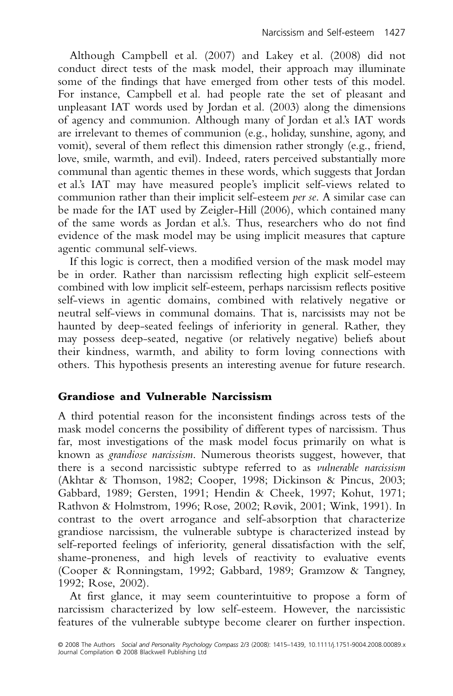Although Campbell et al. (2007) and Lakey et al. (2008) did not conduct direct tests of the mask model, their approach may illuminate some of the findings that have emerged from other tests of this model. For instance, Campbell et al. had people rate the set of pleasant and unpleasant IAT words used by Jordan et al. (2003) along the dimensions of agency and communion. Although many of Jordan et al.'s IAT words are irrelevant to themes of communion (e.g., holiday, sunshine, agony, and vomit), several of them reflect this dimension rather strongly (e.g., friend, love, smile, warmth, and evil). Indeed, raters perceived substantially more communal than agentic themes in these words, which suggests that Jordan et al.'s IAT may have measured people's implicit self-views related to communion rather than their implicit self-esteem *per se*. A similar case can be made for the IAT used by Zeigler-Hill (2006), which contained many of the same words as Jordan et al.'s. Thus, researchers who do not find evidence of the mask model may be using implicit measures that capture agentic communal self-views.

If this logic is correct, then a modified version of the mask model may be in order. Rather than narcissism reflecting high explicit self-esteem combined with low implicit self-esteem, perhaps narcissism reflects positive self-views in agentic domains, combined with relatively negative or neutral self-views in communal domains. That is, narcissists may not be haunted by deep-seated feelings of inferiority in general. Rather, they may possess deep-seated, negative (or relatively negative) beliefs about their kindness, warmth, and ability to form loving connections with others. This hypothesis presents an interesting avenue for future research.

### **Grandiose and Vulnerable Narcissism**

A third potential reason for the inconsistent findings across tests of the mask model concerns the possibility of different types of narcissism. Thus far, most investigations of the mask model focus primarily on what is known as *grandiose narcissism*. Numerous theorists suggest, however, that there is a second narcissistic subtype referred to as *vulnerable narcissism* (Akhtar & Thomson, 1982; Cooper, 1998; Dickinson & Pincus, 2003; Gabbard, 1989; Gersten, 1991; Hendin & Cheek, 1997; Kohut, 1971; Rathvon & Holmstrom, 1996; Rose, 2002; Røvik, 2001; Wink, 1991). In contrast to the overt arrogance and self-absorption that characterize grandiose narcissism, the vulnerable subtype is characterized instead by self-reported feelings of inferiority, general dissatisfaction with the self, shame-proneness, and high levels of reactivity to evaluative events (Cooper & Ronningstam, 1992; Gabbard, 1989; Gramzow & Tangney, 1992; Rose, 2002).

At first glance, it may seem counterintuitive to propose a form of narcissism characterized by low self-esteem. However, the narcissistic features of the vulnerable subtype become clearer on further inspection.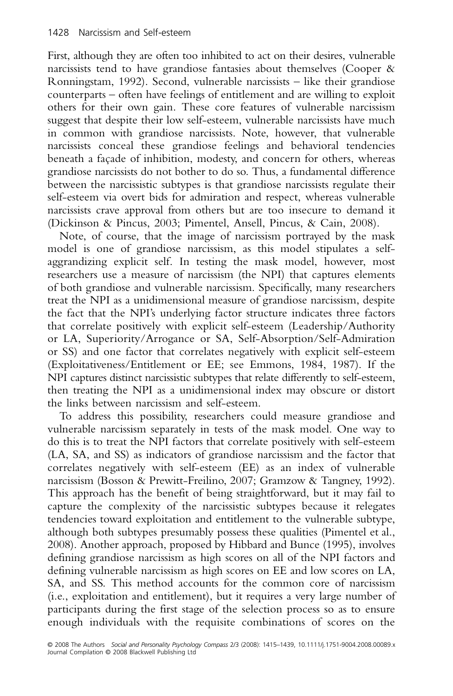First, although they are often too inhibited to act on their desires, vulnerable narcissists tend to have grandiose fantasies about themselves (Cooper & Ronningstam, 1992). Second, vulnerable narcissists – like their grandiose counterparts – often have feelings of entitlement and are willing to exploit others for their own gain. These core features of vulnerable narcissism suggest that despite their low self-esteem, vulnerable narcissists have much in common with grandiose narcissists. Note, however, that vulnerable narcissists conceal these grandiose feelings and behavioral tendencies beneath a façade of inhibition, modesty, and concern for others, whereas grandiose narcissists do not bother to do so. Thus, a fundamental difference between the narcissistic subtypes is that grandiose narcissists regulate their self-esteem via overt bids for admiration and respect, whereas vulnerable narcissists crave approval from others but are too insecure to demand it (Dickinson & Pincus, 2003; Pimentel, Ansell, Pincus, & Cain, 2008).

Note, of course, that the image of narcissism portrayed by the mask model is one of grandiose narcissism, as this model stipulates a selfaggrandizing explicit self. In testing the mask model, however, most researchers use a measure of narcissism (the NPI) that captures elements of both grandiose and vulnerable narcissism. Specifically, many researchers treat the NPI as a unidimensional measure of grandiose narcissism, despite the fact that the NPI's underlying factor structure indicates three factors that correlate positively with explicit self-esteem (Leadership/Authority or LA, Superiority/Arrogance or SA, Self-Absorption/Self-Admiration or SS) and one factor that correlates negatively with explicit self-esteem (Exploitativeness/Entitlement or EE; see Emmons, 1984, 1987). If the NPI captures distinct narcissistic subtypes that relate differently to self-esteem, then treating the NPI as a unidimensional index may obscure or distort the links between narcissism and self-esteem.

To address this possibility, researchers could measure grandiose and vulnerable narcissism separately in tests of the mask model. One way to do this is to treat the NPI factors that correlate positively with self-esteem (LA, SA, and SS) as indicators of grandiose narcissism and the factor that correlates negatively with self-esteem (EE) as an index of vulnerable narcissism (Bosson & Prewitt-Freilino, 2007; Gramzow & Tangney, 1992). This approach has the benefit of being straightforward, but it may fail to capture the complexity of the narcissistic subtypes because it relegates tendencies toward exploitation and entitlement to the vulnerable subtype, although both subtypes presumably possess these qualities (Pimentel et al., 2008). Another approach, proposed by Hibbard and Bunce (1995), involves defining grandiose narcissism as high scores on all of the NPI factors and defining vulnerable narcissism as high scores on EE and low scores on LA, SA, and SS. This method accounts for the common core of narcissism (i.e., exploitation and entitlement), but it requires a very large number of participants during the first stage of the selection process so as to ensure enough individuals with the requisite combinations of scores on the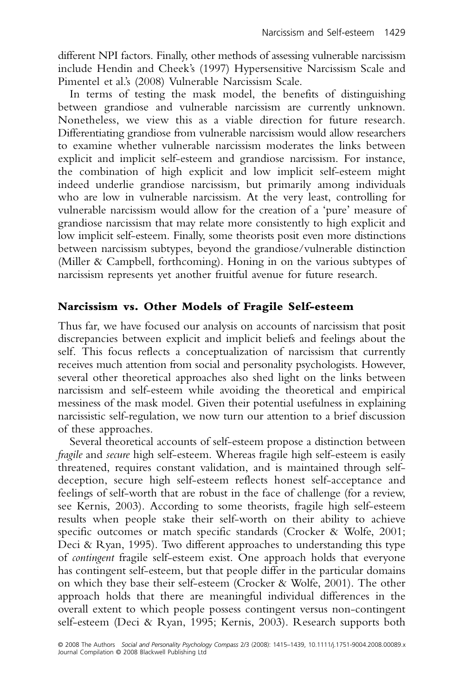different NPI factors. Finally, other methods of assessing vulnerable narcissism include Hendin and Cheek's (1997) Hypersensitive Narcissism Scale and Pimentel et al.'s (2008) Vulnerable Narcissism Scale.

In terms of testing the mask model, the benefits of distinguishing between grandiose and vulnerable narcissism are currently unknown. Nonetheless, we view this as a viable direction for future research. Differentiating grandiose from vulnerable narcissism would allow researchers to examine whether vulnerable narcissism moderates the links between explicit and implicit self-esteem and grandiose narcissism. For instance, the combination of high explicit and low implicit self-esteem might indeed underlie grandiose narcissism, but primarily among individuals who are low in vulnerable narcissism. At the very least, controlling for vulnerable narcissism would allow for the creation of a 'pure' measure of grandiose narcissism that may relate more consistently to high explicit and low implicit self-esteem. Finally, some theorists posit even more distinctions between narcissism subtypes, beyond the grandiose/vulnerable distinction (Miller & Campbell, forthcoming). Honing in on the various subtypes of narcissism represents yet another fruitful avenue for future research.

## **Narcissism vs. Other Models of Fragile Self-esteem**

Thus far, we have focused our analysis on accounts of narcissism that posit discrepancies between explicit and implicit beliefs and feelings about the self. This focus reflects a conceptualization of narcissism that currently receives much attention from social and personality psychologists. However, several other theoretical approaches also shed light on the links between narcissism and self-esteem while avoiding the theoretical and empirical messiness of the mask model. Given their potential usefulness in explaining narcissistic self-regulation, we now turn our attention to a brief discussion of these approaches.

Several theoretical accounts of self-esteem propose a distinction between *fragile* and *secure* high self-esteem. Whereas fragile high self-esteem is easily threatened, requires constant validation, and is maintained through selfdeception, secure high self-esteem reflects honest self-acceptance and feelings of self-worth that are robust in the face of challenge (for a review, see Kernis, 2003). According to some theorists, fragile high self-esteem results when people stake their self-worth on their ability to achieve specific outcomes or match specific standards (Crocker & Wolfe, 2001; Deci & Ryan, 1995). Two different approaches to understanding this type of *contingent* fragile self-esteem exist. One approach holds that everyone has contingent self-esteem, but that people differ in the particular domains on which they base their self-esteem (Crocker & Wolfe, 2001). The other approach holds that there are meaningful individual differences in the overall extent to which people possess contingent versus non-contingent self-esteem (Deci & Ryan, 1995; Kernis, 2003). Research supports both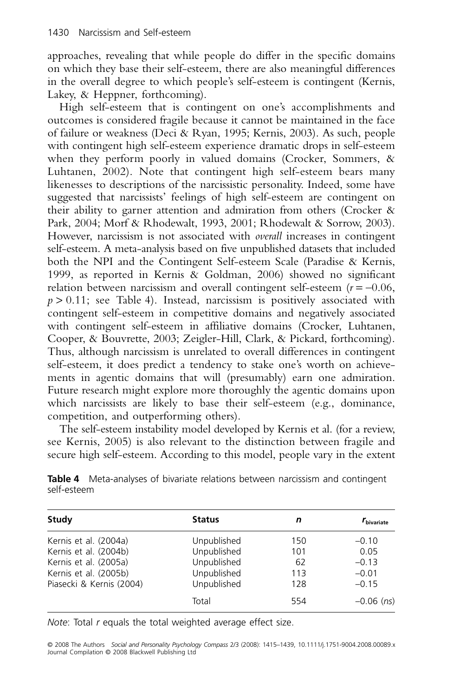approaches, revealing that while people do differ in the specific domains on which they base their self-esteem, there are also meaningful differences in the overall degree to which people's self-esteem is contingent (Kernis, Lakey, & Heppner, forthcoming).

High self-esteem that is contingent on one's accomplishments and outcomes is considered fragile because it cannot be maintained in the face of failure or weakness (Deci & Ryan, 1995; Kernis, 2003). As such, people with contingent high self-esteem experience dramatic drops in self-esteem when they perform poorly in valued domains (Crocker, Sommers, & Luhtanen, 2002). Note that contingent high self-esteem bears many likenesses to descriptions of the narcissistic personality. Indeed, some have suggested that narcissists' feelings of high self-esteem are contingent on their ability to garner attention and admiration from others (Crocker & Park, 2004; Morf & Rhodewalt, 1993, 2001; Rhodewalt & Sorrow, 2003). However, narcissism is not associated with *overall* increases in contingent self-esteem. A meta-analysis based on five unpublished datasets that included both the NPI and the Contingent Self-esteem Scale (Paradise & Kernis, 1999, as reported in Kernis & Goldman, 2006) showed no significant relation between narcissism and overall contingent self-esteem  $(r = -0.06, r = 0.06)$  $p > 0.11$ ; see Table 4). Instead, narcissism is positively associated with contingent self-esteem in competitive domains and negatively associated with contingent self-esteem in affiliative domains (Crocker, Luhtanen, Cooper, & Bouvrette, 2003; Zeigler-Hill, Clark, & Pickard, forthcoming). Thus, although narcissism is unrelated to overall differences in contingent self-esteem, it does predict a tendency to stake one's worth on achievements in agentic domains that will (presumably) earn one admiration. Future research might explore more thoroughly the agentic domains upon which narcissists are likely to base their self-esteem (e.g., dominance, competition, and outperforming others).

The self-esteem instability model developed by Kernis et al. (for a review, see Kernis, 2005) is also relevant to the distinction between fragile and secure high self-esteem. According to this model, people vary in the extent

| <b>Status</b> | n   | $r_{\text{bivariate}}$ |
|---------------|-----|------------------------|
| Unpublished   | 150 | $-0.10$                |
| Unpublished   | 101 | 0.05                   |
| Unpublished   | 62  | $-0.13$                |
| Unpublished   | 113 | $-0.01$                |
| Unpublished   | 128 | $-0.15$                |
| Total         | 554 | $-0.06$ (ns)           |
|               |     |                        |

**Table 4** Meta-analyses of bivariate relations between narcissism and contingent self-esteem

*Note*: Total *r* equals the total weighted average effect size.

© 2008 The Authors *Social and Personality Psychology Compass* 2/3 (2008): 1415–1439, 10.1111/j.1751-9004.2008.00089.x Journal Compilation © 2008 Blackwell Publishing Ltd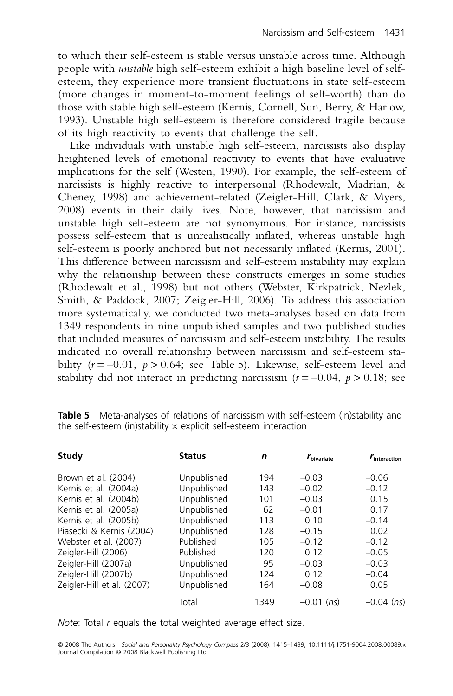to which their self-esteem is stable versus unstable across time. Although people with *unstable* high self-esteem exhibit a high baseline level of selfesteem, they experience more transient fluctuations in state self-esteem (more changes in moment-to-moment feelings of self-worth) than do those with stable high self-esteem (Kernis, Cornell, Sun, Berry, & Harlow, 1993). Unstable high self-esteem is therefore considered fragile because of its high reactivity to events that challenge the self.

Like individuals with unstable high self-esteem, narcissists also display heightened levels of emotional reactivity to events that have evaluative implications for the self (Westen, 1990). For example, the self-esteem of narcissists is highly reactive to interpersonal (Rhodewalt, Madrian, & Cheney, 1998) and achievement-related (Zeigler-Hill, Clark, & Myers, 2008) events in their daily lives. Note, however, that narcissism and unstable high self-esteem are not synonymous. For instance, narcissists possess self-esteem that is unrealistically inflated, whereas unstable high self-esteem is poorly anchored but not necessarily inflated (Kernis, 2001). This difference between narcissism and self-esteem instability may explain why the relationship between these constructs emerges in some studies (Rhodewalt et al., 1998) but not others (Webster, Kirkpatrick, Nezlek, Smith, & Paddock, 2007; Zeigler-Hill, 2006). To address this association more systematically, we conducted two meta-analyses based on data from 1349 respondents in nine unpublished samples and two published studies that included measures of narcissism and self-esteem instability. The results indicated no overall relationship between narcissism and self-esteem stability  $(r = -0.01, p > 0.64$ ; see Table 5). Likewise, self-esteem level and stability did not interact in predicting narcissism  $(r = -0.04, p > 0.18;$  see

| Study                                        | <b>Status</b>              | n    | $r_{\text{bivariate}}$ | $r_{\text{interaction}}$ |
|----------------------------------------------|----------------------------|------|------------------------|--------------------------|
|                                              |                            | 194  | $-0.03$                | $-0.06$                  |
| Brown et al. (2004)<br>Kernis et al. (2004a) | Unpublished<br>Unpublished | 143  | $-0.02$                | $-0.12$                  |
| Kernis et al. (2004b)                        | Unpublished                | 101  | $-0.03$                | 0.15                     |
| Kernis et al. (2005a)                        | Unpublished                | 62   | $-0.01$                | 0.17                     |
| Kernis et al. (2005b)                        | Unpublished                | 113  | 0.10                   | $-0.14$                  |
| Piasecki & Kernis (2004)                     | Unpublished                | 128  | $-0.15$                | 0.02                     |
| Webster et al. (2007)                        | Published                  | 105  | $-0.12$                | $-0.12$                  |
| Zeigler-Hill (2006)                          | Published                  | 120  | 0.12                   | $-0.05$                  |
| Zeigler-Hill (2007a)                         | Unpublished                | 95   | $-0.03$                | $-0.03$                  |
| Zeigler-Hill (2007b)                         | Unpublished                | 124  | 0.12                   | $-0.04$                  |
| Zeigler-Hill et al. (2007)                   | Unpublished                | 164  | $-0.08$                | 0.05                     |
|                                              | Total                      | 1349 | $-0.01$ (ns)           | $-0.04$ (ns)             |

**Table 5** Meta-analyses of relations of narcissism with self-esteem (in)stability and the self-esteem (in)stability  $\times$  explicit self-esteem interaction

*Note*: Total *r* equals the total weighted average effect size.

<sup>© 2008</sup> The Authors *Social and Personality Psychology Compass* 2/3 (2008): 1415–1439, 10.1111/j.1751-9004.2008.00089.x Journal Compilation © 2008 Blackwell Publishing Ltd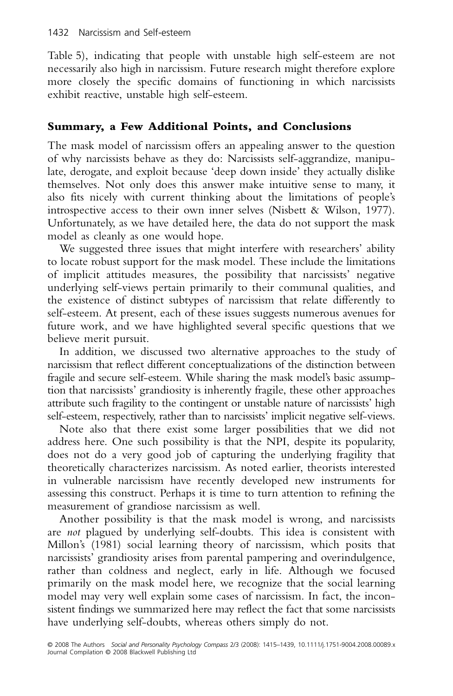Table 5), indicating that people with unstable high self-esteem are not necessarily also high in narcissism. Future research might therefore explore more closely the specific domains of functioning in which narcissists exhibit reactive, unstable high self-esteem.

# **Summary, a Few Additional Points, and Conclusions**

The mask model of narcissism offers an appealing answer to the question of why narcissists behave as they do: Narcissists self-aggrandize, manipulate, derogate, and exploit because 'deep down inside' they actually dislike themselves. Not only does this answer make intuitive sense to many, it also fits nicely with current thinking about the limitations of people's introspective access to their own inner selves (Nisbett & Wilson, 1977). Unfortunately, as we have detailed here, the data do not support the mask model as cleanly as one would hope.

We suggested three issues that might interfere with researchers' ability to locate robust support for the mask model. These include the limitations of implicit attitudes measures, the possibility that narcissists' negative underlying self-views pertain primarily to their communal qualities, and the existence of distinct subtypes of narcissism that relate differently to self-esteem. At present, each of these issues suggests numerous avenues for future work, and we have highlighted several specific questions that we believe merit pursuit.

In addition, we discussed two alternative approaches to the study of narcissism that reflect different conceptualizations of the distinction between fragile and secure self-esteem. While sharing the mask model's basic assumption that narcissists' grandiosity is inherently fragile, these other approaches attribute such fragility to the contingent or unstable nature of narcissists' high self-esteem, respectively, rather than to narcissists' implicit negative self-views.

Note also that there exist some larger possibilities that we did not address here. One such possibility is that the NPI, despite its popularity, does not do a very good job of capturing the underlying fragility that theoretically characterizes narcissism. As noted earlier, theorists interested in vulnerable narcissism have recently developed new instruments for assessing this construct. Perhaps it is time to turn attention to refining the measurement of grandiose narcissism as well.

Another possibility is that the mask model is wrong, and narcissists are *not* plagued by underlying self-doubts. This idea is consistent with Millon's (1981) social learning theory of narcissism, which posits that narcissists' grandiosity arises from parental pampering and overindulgence, rather than coldness and neglect, early in life. Although we focused primarily on the mask model here, we recognize that the social learning model may very well explain some cases of narcissism. In fact, the inconsistent findings we summarized here may reflect the fact that some narcissists have underlying self-doubts, whereas others simply do not.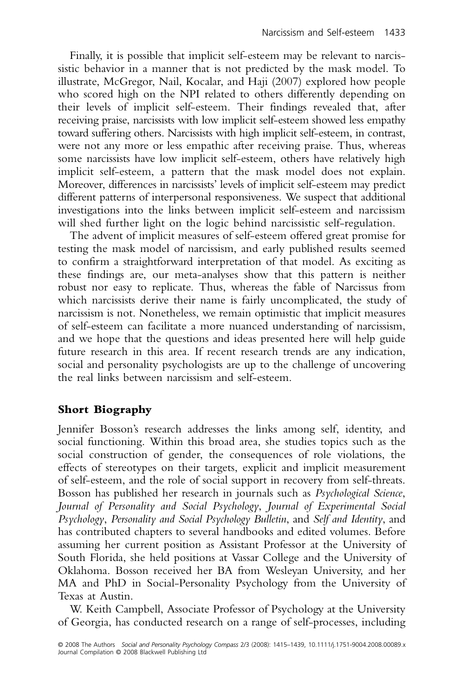Finally, it is possible that implicit self-esteem may be relevant to narcissistic behavior in a manner that is not predicted by the mask model. To illustrate, McGregor, Nail, Kocalar, and Haji (2007) explored how people who scored high on the NPI related to others differently depending on their levels of implicit self-esteem. Their findings revealed that, after receiving praise, narcissists with low implicit self-esteem showed less empathy toward suffering others. Narcissists with high implicit self-esteem, in contrast, were not any more or less empathic after receiving praise. Thus, whereas some narcissists have low implicit self-esteem, others have relatively high implicit self-esteem, a pattern that the mask model does not explain. Moreover, differences in narcissists' levels of implicit self-esteem may predict different patterns of interpersonal responsiveness. We suspect that additional investigations into the links between implicit self-esteem and narcissism will shed further light on the logic behind narcissistic self-regulation.

The advent of implicit measures of self-esteem offered great promise for testing the mask model of narcissism, and early published results seemed to confirm a straightforward interpretation of that model. As exciting as these findings are, our meta-analyses show that this pattern is neither robust nor easy to replicate. Thus, whereas the fable of Narcissus from which narcissists derive their name is fairly uncomplicated, the study of narcissism is not. Nonetheless, we remain optimistic that implicit measures of self-esteem can facilitate a more nuanced understanding of narcissism, and we hope that the questions and ideas presented here will help guide future research in this area. If recent research trends are any indication, social and personality psychologists are up to the challenge of uncovering the real links between narcissism and self-esteem.

# **Short Biography**

Jennifer Bosson's research addresses the links among self, identity, and social functioning. Within this broad area, she studies topics such as the social construction of gender, the consequences of role violations, the effects of stereotypes on their targets, explicit and implicit measurement of self-esteem, and the role of social support in recovery from self-threats. Bosson has published her research in journals such as *Psychological Science*, *Journal of Personality and Social Psychology*, *Journal of Experimental Social Psychology*, *Personality and Social Psychology Bulletin*, and *Self and Identity*, and has contributed chapters to several handbooks and edited volumes. Before assuming her current position as Assistant Professor at the University of South Florida, she held positions at Vassar College and the University of Oklahoma. Bosson received her BA from Wesleyan University, and her MA and PhD in Social-Personality Psychology from the University of Texas at Austin.

W. Keith Campbell, Associate Professor of Psychology at the University of Georgia, has conducted research on a range of self-processes, including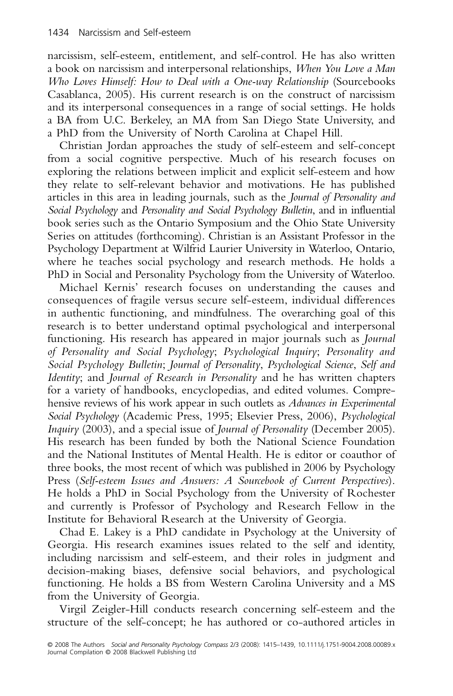narcissism, self-esteem, entitlement, and self-control. He has also written a book on narcissism and interpersonal relationships, *When You Love a Man Who Loves Himself: How to Deal with a One-way Relationship* (Sourcebooks Casablanca, 2005). His current research is on the construct of narcissism and its interpersonal consequences in a range of social settings. He holds a BA from U.C. Berkeley, an MA from San Diego State University, and a PhD from the University of North Carolina at Chapel Hill.

Christian Jordan approaches the study of self-esteem and self-concept from a social cognitive perspective. Much of his research focuses on exploring the relations between implicit and explicit self-esteem and how they relate to self-relevant behavior and motivations. He has published articles in this area in leading journals, such as the *Journal of Personality and Social Psychology* and *Personality and Social Psychology Bulletin*, and in influential book series such as the Ontario Symposium and the Ohio State University Series on attitudes (forthcoming). Christian is an Assistant Professor in the Psychology Department at Wilfrid Laurier University in Waterloo, Ontario, where he teaches social psychology and research methods. He holds a PhD in Social and Personality Psychology from the University of Waterloo.

Michael Kernis' research focuses on understanding the causes and consequences of fragile versus secure self-esteem, individual differences in authentic functioning, and mindfulness. The overarching goal of this research is to better understand optimal psychological and interpersonal functioning. His research has appeared in major journals such as *Journal of Personality and Social Psychology*; *Psychological Inquiry*; *Personality and Social Psychology Bulletin*; *Journal of Personality*, *Psychological Science*, *Self and Identity*; and *Journal of Research in Personality* and he has written chapters for a variety of handbooks, encyclopedias, and edited volumes. Comprehensive reviews of his work appear in such outlets as *Advances in Experimental Social Psychology* (Academic Press, 1995; Elsevier Press, 2006), *Psychological Inquiry* (2003), and a special issue of *Journal of Personality* (December 2005). His research has been funded by both the National Science Foundation and the National Institutes of Mental Health. He is editor or coauthor of three books, the most recent of which was published in 2006 by Psychology Press (*Self-esteem Issues and Answers: A Sourcebook of Current Perspectives*). He holds a PhD in Social Psychology from the University of Rochester and currently is Professor of Psychology and Research Fellow in the Institute for Behavioral Research at the University of Georgia.

Chad E. Lakey is a PhD candidate in Psychology at the University of Georgia. His research examines issues related to the self and identity, including narcissism and self-esteem, and their roles in judgment and decision-making biases, defensive social behaviors, and psychological functioning. He holds a BS from Western Carolina University and a MS from the University of Georgia.

Virgil Zeigler-Hill conducts research concerning self-esteem and the structure of the self-concept; he has authored or co-authored articles in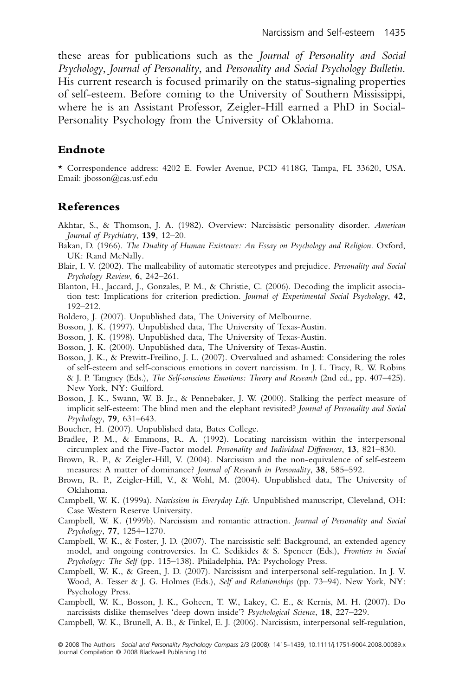these areas for publications such as the *Journal of Personality and Social Psychology*, *Journal of Personality*, and *Personality and Social Psychology Bulletin*. His current research is focused primarily on the status-signaling properties of self-esteem. Before coming to the University of Southern Mississippi, where he is an Assistant Professor, Zeigler-Hill earned a PhD in Social-Personality Psychology from the University of Oklahoma.

#### **Endnote**

\* Correspondence address: 4202 E. Fowler Avenue, PCD 4118G, Tampa, FL 33620, USA. Email: jbosson@cas.usf.edu

#### **References**

- Akhtar, S., & Thomson, J. A. (1982). Overview: Narcissistic personality disorder. *American Journal of Psychiatry*, **139**, 12–20.
- Bakan, D. (1966). *The Duality of Human Existence: An Essay on Psychology and Religion*. Oxford, UK: Rand McNally.
- Blair, I. V. (2002). The malleability of automatic stereotypes and prejudice. *Personality and Social Psychology Review*, **6**, 242–261.
- Blanton, H., Jaccard, J., Gonzales, P. M., & Christie, C. (2006). Decoding the implicit association test: Implications for criterion prediction. *Journal of Experimental Social Psychology*, **42**, 192–212.
- Boldero, J. (2007). Unpublished data, The University of Melbourne.
- Bosson, J. K. (1997). Unpublished data, The University of Texas-Austin.
- Bosson, J. K. (1998). Unpublished data, The University of Texas-Austin.
- Bosson, J. K. (2000). Unpublished data, The University of Texas-Austin.
- Bosson, J. K., & Prewitt-Freilino, J. L. (2007). Overvalued and ashamed: Considering the roles of self-esteem and self-conscious emotions in covert narcissism. In J. L. Tracy, R. W. Robins & J. P. Tangney (Eds.), *The Self-conscious Emotions: Theory and Research* (2nd ed., pp. 407–425). New York, NY: Guilford.
- Bosson, J. K., Swann, W. B. Jr., & Pennebaker, J. W. (2000). Stalking the perfect measure of implicit self-esteem: The blind men and the elephant revisited? *Journal of Personality and Social Psychology*, **79**, 631–643.
- Boucher, H. (2007). Unpublished data, Bates College.
- Bradlee, P. M., & Emmons, R. A. (1992). Locating narcissism within the interpersonal circumplex and the Five-Factor model. *Personality and Individual Differences*, **13**, 821–830.
- Brown, R. P., & Zeigler-Hill, V. (2004). Narcissism and the non-equivalence of self-esteem measures: A matter of dominance? *Journal of Research in Personality*, **38**, 585–592.
- Brown, R. P., Zeigler-Hill, V., & Wohl, M. (2004). Unpublished data, The University of Oklahoma.
- Campbell, W. K. (1999a). *Narcissism in Everyday Life*. Unpublished manuscript, Cleveland, OH: Case Western Reserve University.
- Campbell, W. K. (1999b). Narcissism and romantic attraction. *Journal of Personality and Social Psychology*, **77**, 1254–1270.
- Campbell, W. K., & Foster, J. D. (2007). The narcissistic self: Background, an extended agency model, and ongoing controversies. In C. Sedikides & S. Spencer (Eds.), *Frontiers in Social Psychology: The Self* (pp. 115–138). Philadelphia, PA: Psychology Press.
- Campbell, W. K., & Green, J. D. (2007). Narcissism and interpersonal self-regulation. In J. V. Wood, A. Tesser & J. G. Holmes (Eds.), *Self and Relationships* (pp. 73–94). New York, NY: Psychology Press.
- Campbell, W. K., Bosson, J. K., Goheen, T. W., Lakey, C. E., & Kernis, M. H. (2007). Do narcissists dislike themselves 'deep down inside'? *Psychological Science*, **18**, 227–229.
- Campbell, W. K., Brunell, A. B., & Finkel, E. J. (2006). Narcissism, interpersonal self-regulation,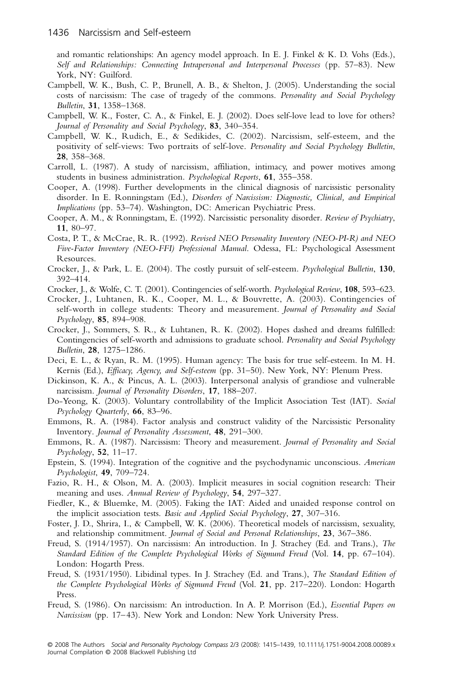and romantic relationships: An agency model approach. In E. J. Finkel & K. D. Vohs (Eds.), *Self and Relationships: Connecting Intrapersonal and Interpersonal Processes* (pp. 57–83). New York, NY: Guilford.

- Campbell, W. K., Bush, C. P., Brunell, A. B., & Shelton, J. (2005). Understanding the social costs of narcissism: The case of tragedy of the commons. *Personality and Social Psychology Bulletin*, **31**, 1358–1368.
- Campbell, W. K., Foster, C. A., & Finkel, E. J. (2002). Does self-love lead to love for others? *Journal of Personality and Social Psychology*, **83**, 340–354.
- Campbell, W. K., Rudich, E., & Sedikides, C. (2002). Narcissism, self-esteem, and the positivity of self-views: Two portraits of self-love. *Personality and Social Psychology Bulletin*, **28**, 358–368.
- Carroll, L. (1987). A study of narcissism, affiliation, intimacy, and power motives among students in business administration. *Psychological Reports*, **61**, 355–358.
- Cooper, A. (1998). Further developments in the clinical diagnosis of narcissistic personality disorder. In E. Ronningstam (Ed.), *Disorders of Narcissism: Diagnostic, Clinical, and Empirical Implications* (pp. 53–74). Washington, DC: American Psychiatric Press.
- Cooper, A. M., & Ronningstam, E. (1992). Narcissistic personality disorder. *Review of Psychiatry*, **11**, 80–97.
- Costa, P. T., & McCrae, R. R. (1992). *Revised NEO Personality Inventory (NEO-PI-R) and NEO Five-Factor Inventory (NEO-FFI) Professional Manual*. Odessa, FL: Psychological Assessment Resources.
- Crocker, J., & Park, L. E. (2004). The costly pursuit of self-esteem. *Psychological Bulletin*, **130**, 392–414.
- Crocker, J., & Wolfe, C. T. (2001). Contingencies of self-worth. *Psychological Review*, **108**, 593–623.
- Crocker, J., Luhtanen, R. K., Cooper, M. L., & Bouvrette, A. (2003). Contingencies of self-worth in college students: Theory and measurement. *Journal of Personality and Social Psychology*, **85**, 894–908.
- Crocker, J., Sommers, S. R., & Luhtanen, R. K. (2002). Hopes dashed and dreams fulfilled: Contingencies of self-worth and admissions to graduate school. *Personality and Social Psychology Bulletin*, **28**, 1275–1286.
- Deci, E. L., & Ryan, R. M. (1995). Human agency: The basis for true self-esteem. In M. H. Kernis (Ed.), *Efficacy, Agency, and Self-esteem* (pp. 31–50). New York, NY: Plenum Press.
- Dickinson, K. A., & Pincus, A. L. (2003). Interpersonal analysis of grandiose and vulnerable narcissism. *Journal of Personality Disorders*, **17**, 188–207.
- Do-Yeong, K. (2003). Voluntary controllability of the Implicit Association Test (IAT). *Social Psychology Quarterly*, **66**, 83–96.
- Emmons, R. A. (1984). Factor analysis and construct validity of the Narcissistic Personality Inventory. *Journal of Personality Assessment*, **48**, 291–300.
- Emmons, R. A. (1987). Narcissism: Theory and measurement. *Journal of Personality and Social Psychology*, **52**, 11–17.
- Epstein, S. (1994). Integration of the cognitive and the psychodynamic unconscious. *American Psychologist*, **49**, 709–724.
- Fazio, R. H., & Olson, M. A. (2003). Implicit measures in social cognition research: Their meaning and uses. *Annual Review of Psychology*, **54**, 297–327.
- Fiedler, K., & Bluemke, M. (2005). Faking the IAT: Aided and unaided response control on the implicit association tests. *Basic and Applied Social Psychology*, **27**, 307–316.
- Foster, J. D., Shrira, I., & Campbell, W. K. (2006). Theoretical models of narcissism, sexuality, and relationship commitment. *Journal of Social and Personal Relationships*, **23**, 367–386.
- Freud, S. (1914/1957). On narcissism: An introduction. In J. Strachey (Ed. and Trans.), *The Standard Edition of the Complete Psychological Works of Sigmund Freud* (Vol. **14**, pp. 67–104). London: Hogarth Press.
- Freud, S. (1931/1950). Libidinal types. In J. Strachey (Ed. and Trans.), *The Standard Edition of the Complete Psychological Works of Sigmund Freud* (Vol. **21**, pp. 217–220). London: Hogarth Press.
- Freud, S. (1986). On narcissism: An introduction. In A. P. Morrison (Ed.), *Essential Papers on Narcissism* (pp. 17–43). New York and London: New York University Press.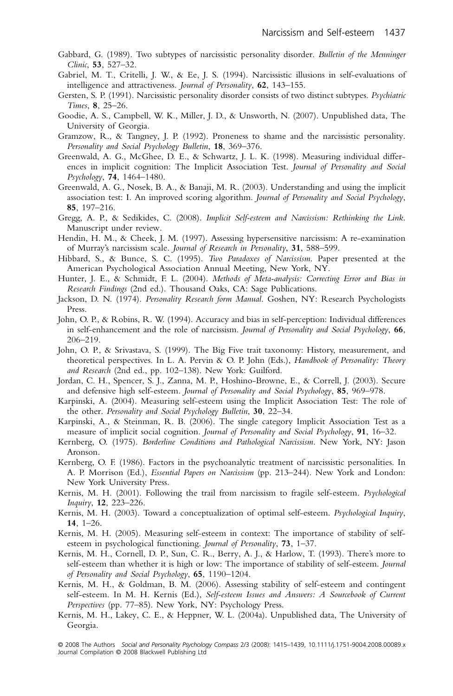- Gabbard, G. (1989). Two subtypes of narcissistic personality disorder. *Bulletin of the Menninger Clinic*, **53**, 527–32.
- Gabriel, M. T., Critelli, J. W., & Ee, J. S. (1994). Narcissistic illusions in self-evaluations of intelligence and attractiveness. *Journal of Personality*, **62**, 143–155.
- Gersten, S. P. (1991). Narcissistic personality disorder consists of two distinct subtypes. *Psychiatric Times*, **8**, 25–26.
- Goodie, A. S., Campbell, W. K., Miller, J. D., & Unsworth, N. (2007). Unpublished data, The University of Georgia.
- Gramzow, R., & Tangney, J. P. (1992). Proneness to shame and the narcissistic personality. *Personality and Social Psychology Bulletin*, **18**, 369–376.
- Greenwald, A. G., McGhee, D. E., & Schwartz, J. L. K. (1998). Measuring individual differences in implicit cognition: The Implicit Association Test. *Journal of Personality and Social Psychology*, **74**, 1464–1480.
- Greenwald, A. G., Nosek, B. A., & Banaji, M. R. (2003). Understanding and using the implicit association test: I. An improved scoring algorithm. *Journal of Personality and Social Psychology*, **85**, 197–216.
- Gregg, A. P., & Sedikides, C. (2008). *Implicit Self-esteem and Narcissism: Rethinking the Link*. Manuscript under review.
- Hendin, H. M., & Cheek, J. M. (1997). Assessing hypersensitive narcissism: A re-examination of Murray's narcissism scale. *Journal of Research in Personality*, **31**, 588–599.
- Hibbard, S., & Bunce, S. C. (1995). *Two Paradoxes of Narcissism*. Paper presented at the American Psychological Association Annual Meeting, New York, NY.
- Hunter, J. E., & Schmidt, F. L. (2004). *Methods of Meta-analysis: Correcting Error and Bias in Research Findings* (2nd ed.). Thousand Oaks, CA: Sage Publications.
- Jackson, D. N. (1974). *Personality Research form Manual*. Goshen, NY: Research Psychologists Press.
- John, O. P., & Robins, R. W. (1994). Accuracy and bias in self-perception: Individual differences in self-enhancement and the role of narcissism. *Journal of Personality and Social Psychology*, **66**, 206–219.
- John, O. P., & Srivastava, S. (1999). The Big Five trait taxonomy: History, measurement, and theoretical perspectives. In L. A. Pervin & O. P. John (Eds.), *Handbook of Personality: Theory and Research* (2nd ed., pp. 102–138). New York: Guilford.
- Jordan, C. H., Spencer, S. J., Zanna, M. P., Hoshino-Browne, E., & Correll, J. (2003). Secure and defensive high self-esteem. *Journal of Personality and Social Psychology*, **85**, 969–978.
- Karpinski, A. (2004). Measuring self-esteem using the Implicit Association Test: The role of the other. *Personality and Social Psychology Bulletin*, **30**, 22–34.
- Karpinski, A., & Steinman, R. B. (2006). The single category Implicit Association Test as a measure of implicit social cognition. *Journal of Personality and Social Psychology*, **91**, 16–32.
- Kernberg, O. (1975). *Borderline Conditions and Pathological Narcissism*. New York, NY: Jason Aronson.
- Kernberg, O. F. (1986). Factors in the psychoanalytic treatment of narcissistic personalities. In A. P. Morrison (Ed.), *Essential Papers on Narcissism* (pp. 213–244). New York and London: New York University Press.
- Kernis, M. H. (2001). Following the trail from narcissism to fragile self-esteem. *Psychological Inquiry*, **12**, 223–226.
- Kernis, M. H. (2003). Toward a conceptualization of optimal self-esteem. *Psychological Inquiry*, **14**, 1–26.
- Kernis, M. H. (2005). Measuring self-esteem in context: The importance of stability of selfesteem in psychological functioning. *Journal of Personality*, **73**, 1–37.
- Kernis, M. H., Cornell, D. P., Sun, C. R., Berry, A. J., & Harlow, T. (1993). There's more to self-esteem than whether it is high or low: The importance of stability of self-esteem. *Journal of Personality and Social Psychology*, **65**, 1190–1204.
- Kernis, M. H., & Goldman, B. M. (2006). Assessing stability of self-esteem and contingent self-esteem. In M. H. Kernis (Ed.), *Self-esteem Issues and Answers: A Sourcebook of Current Perspectives* (pp. 77–85). New York, NY: Psychology Press.
- Kernis, M. H., Lakey, C. E., & Heppner, W. L. (2004a). Unpublished data, The University of Georgia.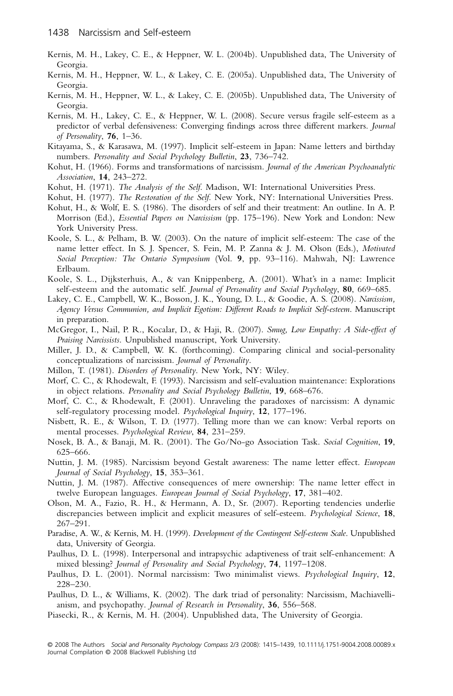- Kernis, M. H., Lakey, C. E., & Heppner, W. L. (2004b). Unpublished data, The University of Georgia.
- Kernis, M. H., Heppner, W. L., & Lakey, C. E. (2005a). Unpublished data, The University of Georgia.
- Kernis, M. H., Heppner, W. L., & Lakey, C. E. (2005b). Unpublished data, The University of Georgia.
- Kernis, M. H., Lakey, C. E., & Heppner, W. L. (2008). Secure versus fragile self-esteem as a predictor of verbal defensiveness: Converging findings across three different markers. *Journal of Personality*, **76**, 1–36.
- Kitayama, S., & Karasawa, M. (1997). Implicit self-esteem in Japan: Name letters and birthday numbers. *Personality and Social Psychology Bulletin*, **23**, 736–742.
- Kohut, H. (1966). Forms and transformations of narcissism. *Journal of the American Psychoanalytic Association*, **14**, 243–272.
- Kohut, H. (1971). *The Analysis of the Self*. Madison, WI: International Universities Press.
- Kohut, H. (1977). *The Restoration of the Self*. New York, NY: International Universities Press.
- Kohut, H., & Wolf, E. S. (1986). The disorders of self and their treatment: An outline. In A. P. Morrison (Ed.), *Essential Papers on Narcissism* (pp. 175–196). New York and London: New York University Press.
- Koole, S. L., & Pelham, B. W. (2003). On the nature of implicit self-esteem: The case of the name letter effect. In S. J. Spencer, S. Fein, M. P. Zanna & J. M. Olson (Eds.), *Motivated Social Perception: The Ontario Symposium* (Vol. **9**, pp. 93–116). Mahwah, NJ: Lawrence Erlbaum.
- Koole, S. L., Dijksterhuis, A., & van Knippenberg, A. (2001). What's in a name: Implicit self-esteem and the automatic self. *Journal of Personality and Social Psychology*, **80**, 669–685.
- Lakey, C. E., Campbell, W. K., Bosson, J. K., Young, D. L., & Goodie, A. S. (2008). *Narcissism, Agency Versus Communion, and Implicit Egotism: Different Roads to Implicit Self-esteem*. Manuscript in preparation.
- McGregor, I., Nail, P. R., Kocalar, D., & Haji, R. (2007). *Smug, Low Empathy: A Side-effect of Praising Narcissists*. Unpublished manuscript, York University.
- Miller, J. D., & Campbell, W. K. (forthcoming). Comparing clinical and social-personality conceptualizations of narcissism. *Journal of Personality*.
- Millon, T. (1981). *Disorders of Personality*. New York, NY: Wiley.
- Morf, C. C., & Rhodewalt, F. (1993). Narcissism and self-evaluation maintenance: Explorations in object relations. *Personality and Social Psychology Bulletin*, **19**, 668–676.
- Morf, C. C., & Rhodewalt, F. (2001). Unraveling the paradoxes of narcissism: A dynamic self-regulatory processing model. *Psychological Inquiry*, **12**, 177–196.
- Nisbett, R. E., & Wilson, T. D. (1977). Telling more than we can know: Verbal reports on mental processes. *Psychological Review*, **84**, 231–259.
- Nosek, B. A., & Banaji, M. R. (2001). The Go/No-go Association Task. *Social Cognition*, **19**, 625–666.
- Nuttin, J. M. (1985). Narcissism beyond Gestalt awareness: The name letter effect. *European Journal of Social Psychology*, **15**, 353–361.
- Nuttin, J. M. (1987). Affective consequences of mere ownership: The name letter effect in twelve European languages. *European Journal of Social Psychology*, **17**, 381–402.
- Olson, M. A., Fazio, R. H., & Hermann, A. D., Sr. (2007). Reporting tendencies underlie discrepancies between implicit and explicit measures of self-esteem. *Psychological Science*, **18**, 267–291.
- Paradise, A. W., & Kernis, M. H. (1999). *Development of the Contingent Self-esteem Scale*. Unpublished data, University of Georgia.
- Paulhus, D. L. (1998). Interpersonal and intrapsychic adaptiveness of trait self-enhancement: A mixed blessing? *Journal of Personality and Social Psychology*, **74**, 1197–1208.
- Paulhus, D. L. (2001). Normal narcissism: Two minimalist views. *Psychological Inquiry*, **12**, 228–230.
- Paulhus, D. L., & Williams, K. (2002). The dark triad of personality: Narcissism, Machiavellianism, and psychopathy. *Journal of Research in Personality*, **36**, 556–568.
- Piasecki, R., & Kernis, M. H. (2004). Unpublished data, The University of Georgia.